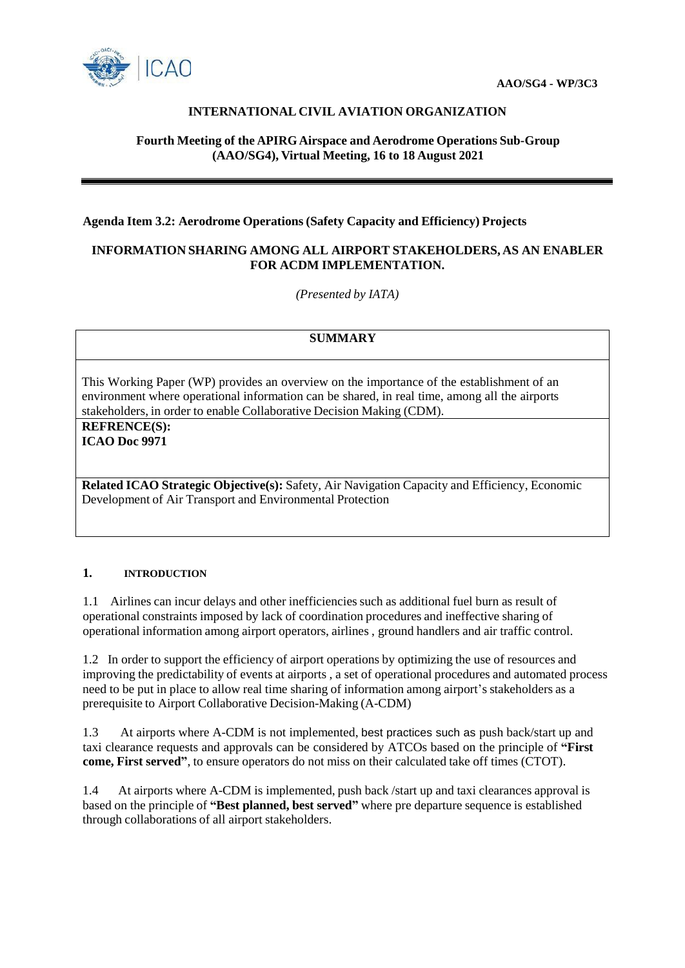

# **INTERNATIONAL CIVIL AVIATION ORGANIZATION**

## **Fourth Meeting of the APIRG Airspace and Aerodrome Operations Sub-Group (AAO/SG4), Virtual Meeting, 16 to 18 August 2021**

#### **Agenda Item 3.2: Aerodrome Operations (Safety Capacity and Efficiency) Projects**

### **INFORMATION SHARING AMONG ALL AIRPORT STAKEHOLDERS, AS AN ENABLER FOR ACDM IMPLEMENTATION.**

*(Presented by IATA)*

# **SUMMARY**

This Working Paper (WP) provides an overview on the importance of the establishment of an environment where operational information can be shared, in real time, among all the airports stakeholders, in order to enable Collaborative Decision Making (CDM).

**REFRENCE(S): ICAO Doc 9971**

**Related ICAO Strategic Objective(s):** Safety, Air Navigation Capacity and Efficiency, Economic Development of Air Transport and Environmental Protection

### **1. INTRODUCTION**

1.1 Airlines can incur delays and other inefficiencies such as additional fuel burn as result of operational constraints imposed by lack of coordination procedures and ineffective sharing of operational information among airport operators, airlines , ground handlers and air traffic control.

1.2 In order to support the efficiency of airport operations by optimizing the use of resources and improving the predictability of events at airports , a set of operational procedures and automated process need to be put in place to allow real time sharing of information among airport's stakeholders as a prerequisite to Airport Collaborative Decision-Making (A-CDM)

1.3 At airports where A-CDM is not implemented, best practices such as push back/start up and taxi clearance requests and approvals can be considered by ATCOs based on the principle of **"First come, First served"**, to ensure operators do not miss on their calculated take off times (CTOT).

1.4 At airports where A-CDM is implemented, push back /start up and taxi clearances approval is based on the principle of **"Best planned, best served"** where pre departure sequence is established through collaborations of all airport stakeholders.